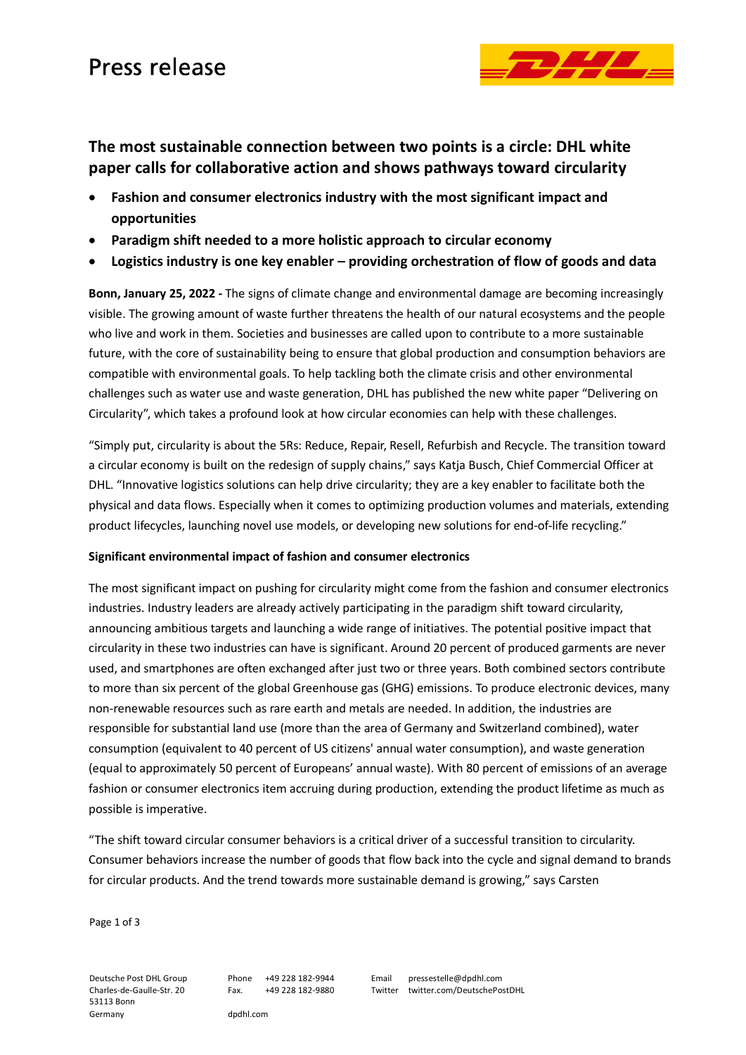# Press release



## **The most sustainable connection between two points is a circle: DHL white paper calls for collaborative action and shows pathways toward circularity**

- **Fashion and consumer electronics industry with the most significant impact and opportunities**
- **Paradigm shift needed to a more holistic approach to circular economy**
- **Logistics industry is one key enabler – providing orchestration of flow of goods and data**

**Bonn, January 25, 2022 -** The signs of climate change and environmental damage are becoming increasingly visible. The growing amount of waste further threatens the health of our natural ecosystems and the people who live and work in them. Societies and businesses are called upon to contribute to a more sustainable future, with the core of sustainability being to ensure that global production and consumption behaviors are compatible with environmental goals. To help tackling both the climate crisis and other environmental challenges such as water use and waste generation, DHL has published the new white paper "Delivering on Circularity", which takes a profound look at how circular economies can help with these challenges.

"Simply put, circularity is about the 5Rs: Reduce, Repair, Resell, Refurbish and Recycle. The transition toward a circular economy is built on the redesign of supply chains," says Katja Busch, Chief Commercial Officer at DHL. "Innovative logistics solutions can help drive circularity; they are a key enabler to facilitate both the physical and data flows. Especially when it comes to optimizing production volumes and materials, extending product lifecycles, launching novel use models, or developing new solutions for end-of-life recycling."

### **Significant environmental impact of fashion and consumer electronics**

The most significant impact on pushing for circularity might come from the fashion and consumer electronics industries. Industry leaders are already actively participating in the paradigm shift toward circularity, announcing ambitious targets and launching a wide range of initiatives. The potential positive impact that circularity in these two industries can have is significant. Around 20 percent of produced garments are never used, and smartphones are often exchanged after just two or three years. Both combined sectors contribute to more than six percent of the global Greenhouse gas (GHG) emissions. To produce electronic devices, many non-renewable resources such as rare earth and metals are needed. In addition, the industries are responsible for substantial land use (more than the area of Germany and Switzerland combined), water consumption (equivalent to 40 percent of US citizens' annual water consumption), and waste generation (equal to approximately 50 percent of Europeans' annual waste). With 80 percent of emissions of an average fashion or consumer electronics item accruing during production, extending the product lifetime as much as possible is imperative.

"The shift toward circular consumer behaviors is a critical driver of a successful transition to circularity. Consumer behaviors increase the number of goods that flow back into the cycle and signal demand to brands for circular products. And the trend towards more sustainable demand is growing," says Carsten

Page 1 of 3

Deutsche Post DHL Group Charles-de-Gaulle-Str. 20 53113 Bonn Germany

Phone +49 228 182-9944 Fax. +49 228 182-9880 Email pressestelle@dpdhl.com Twitter twitter.com/DeutschePostDHL

dpdhl.com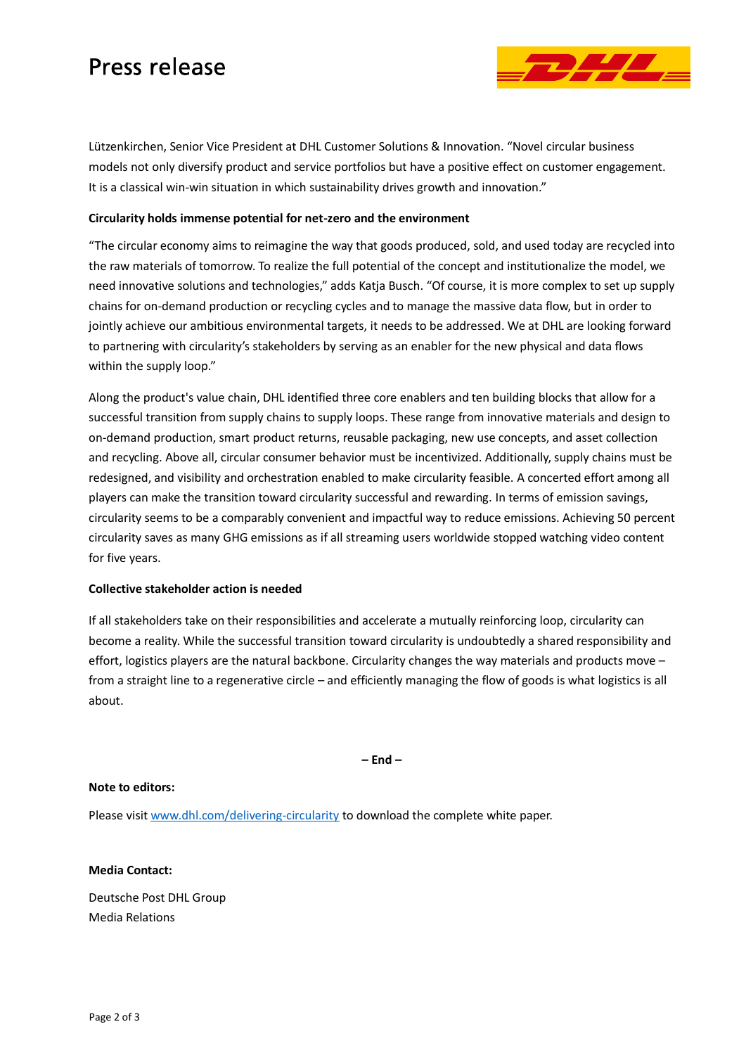# Press release



Lützenkirchen, Senior Vice President at DHL Customer Solutions & Innovation. "Novel circular business models not only diversify product and service portfolios but have a positive effect on customer engagement. It is a classical win-win situation in which sustainability drives growth and innovation."

### **Circularity holds immense potential for net-zero and the environment**

"The circular economy aims to reimagine the way that goods produced, sold, and used today are recycled into the raw materials of tomorrow. To realize the full potential of the concept and institutionalize the model, we need innovative solutions and technologies," adds Katja Busch. "Of course, it is more complex to set up supply chains for on-demand production or recycling cycles and to manage the massive data flow, but in order to jointly achieve our ambitious environmental targets, it needs to be addressed. We at DHL are looking forward to partnering with circularity's stakeholders by serving as an enabler for the new physical and data flows within the supply loop."

Along the product's value chain, DHL identified three core enablers and ten building blocks that allow for a successful transition from supply chains to supply loops. These range from innovative materials and design to on-demand production, smart product returns, reusable packaging, new use concepts, and asset collection and recycling. Above all, circular consumer behavior must be incentivized. Additionally, supply chains must be redesigned, and visibility and orchestration enabled to make circularity feasible. A concerted effort among all players can make the transition toward circularity successful and rewarding. In terms of emission savings, circularity seems to be a comparably convenient and impactful way to reduce emissions. Achieving 50 percent circularity saves as many GHG emissions as if all streaming users worldwide stopped watching video content for five years.

#### **Collective stakeholder action is needed**

If all stakeholders take on their responsibilities and accelerate a mutually reinforcing loop, circularity can become a reality. While the successful transition toward circularity is undoubtedly a shared responsibility and effort, logistics players are the natural backbone. Circularity changes the way materials and products move – from a straight line to a regenerative circle – and efficiently managing the flow of goods is what logistics is all about.

**– End –**

#### **Note to editors:**

Please visit [www.dhl.com/delivering-circularity](https://www.dhl.com/delivering-circularity) to download the complete white paper.

#### **Media Contact:**

Deutsche Post DHL Group Media Relations